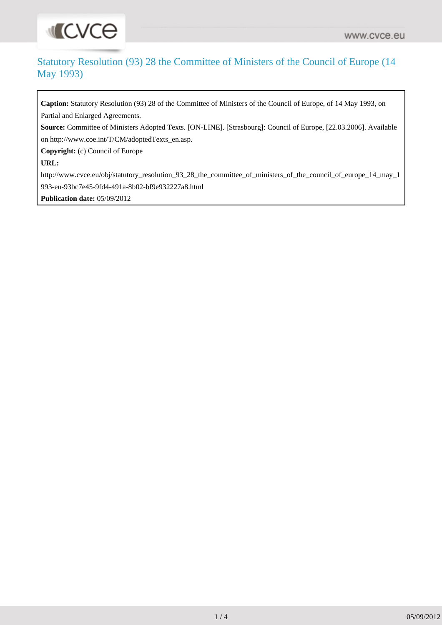# **INCACE**

## Statutory Resolution (93) 28 the Committee of Ministers of the Council of Europe (14 May 1993)

**Caption:** Statutory Resolution (93) 28 of the Committee of Ministers of the Council of Europe, of 14 May 1993, on Partial and Enlarged Agreements.

**Source:** Committee of Ministers Adopted Texts. [ON-LINE]. [Strasbourg]: Council of Europe, [22.03.2006]. Available on http://www.coe.int/T/CM/adoptedTexts\_en.asp.

**Copyright:** (c) Council of Europe

**URL:**

[http://www.cvce.eu/obj/statutory\\_resolution\\_93\\_28\\_the\\_committee\\_of\\_ministers\\_of\\_the\\_council\\_of\\_europe\\_14\\_may\\_1](http://www.cvce.eu/obj/statutory_resolution_93_28_the_committee_of_ministers_of_the_council_of_europe_14_may_1993-en-93bc7e45-9fd4-491a-8b02-bf9e932227a8.html) [993-en-93bc7e45-9fd4-491a-8b02-bf9e932227a8.html](http://www.cvce.eu/obj/statutory_resolution_93_28_the_committee_of_ministers_of_the_council_of_europe_14_may_1993-en-93bc7e45-9fd4-491a-8b02-bf9e932227a8.html)

**Publication date:** 05/09/2012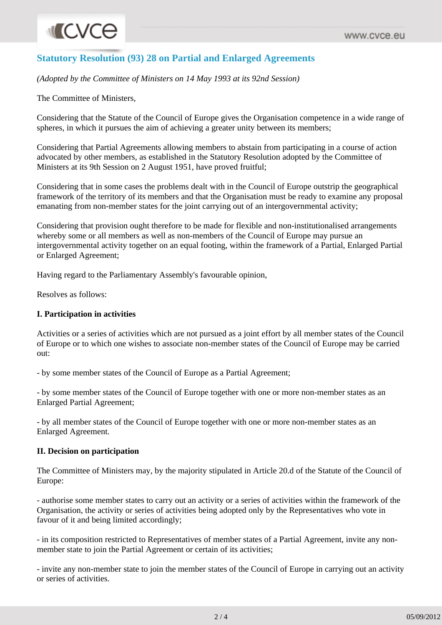# **ILCVCe**

### **Statutory Resolution (93) 28 on Partial and Enlarged Agreements**

*(Adopted by the Committee of Ministers on 14 May 1993 at its 92nd Session)*

The Committee of Ministers,

Considering that the Statute of the Council of Europe gives the Organisation competence in a wide range of spheres, in which it pursues the aim of achieving a greater unity between its members;

Considering that Partial Agreements allowing members to abstain from participating in a course of action advocated by other members, as established in the Statutory Resolution adopted by the Committee of Ministers at its 9th Session on 2 August 1951, have proved fruitful;

Considering that in some cases the problems dealt with in the Council of Europe outstrip the geographical framework of the territory of its members and that the Organisation must be ready to examine any proposal emanating from non-member states for the joint carrying out of an intergovernmental activity;

Considering that provision ought therefore to be made for flexible and non-institutionalised arrangements whereby some or all members as well as non-members of the Council of Europe may pursue an intergovernmental activity together on an equal footing, within the framework of a Partial, Enlarged Partial or Enlarged Agreement;

Having regard to the Parliamentary Assembly's favourable opinion,

Resolves as follows:

### **I. Participation in activities**

Activities or a series of activities which are not pursued as a joint effort by all member states of the Council of Europe or to which one wishes to associate non-member states of the Council of Europe may be carried out:

- by some member states of the Council of Europe as a Partial Agreement;

- by some member states of the Council of Europe together with one or more non-member states as an Enlarged Partial Agreement;

- by all member states of the Council of Europe together with one or more non-member states as an Enlarged Agreement.

### **II. Decision on participation**

The Committee of Ministers may, by the majority stipulated in Article 20.d of the Statute of the Council of Europe:

- authorise some member states to carry out an activity or a series of activities within the framework of the Organisation, the activity or series of activities being adopted only by the Representatives who vote in favour of it and being limited accordingly;

- in its composition restricted to Representatives of member states of a Partial Agreement, invite any nonmember state to join the Partial Agreement or certain of its activities;

- invite any non-member state to join the member states of the Council of Europe in carrying out an activity or series of activities.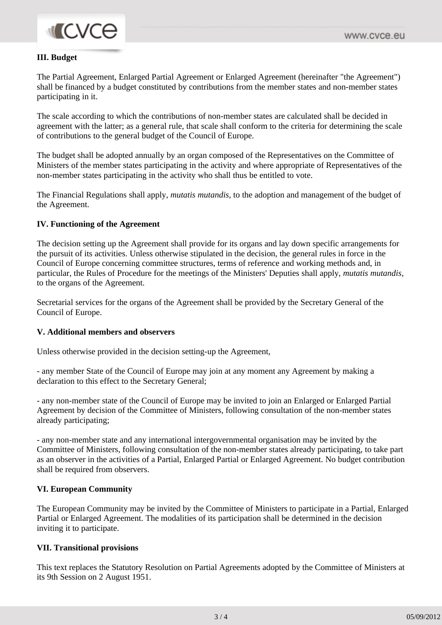## **INCVCe**

### **III. Budget**

The Partial Agreement, Enlarged Partial Agreement or Enlarged Agreement (hereinafter "the Agreement") shall be financed by a budget constituted by contributions from the member states and non-member states participating in it.

The scale according to which the contributions of non-member states are calculated shall be decided in agreement with the latter; as a general rule, that scale shall conform to the criteria for determining the scale of contributions to the general budget of the Council of Europe.

The budget shall be adopted annually by an organ composed of the Representatives on the Committee of Ministers of the member states participating in the activity and where appropriate of Representatives of the non-member states participating in the activity who shall thus be entitled to vote.

The Financial Regulations shall apply, *mutatis mutandis*, to the adoption and management of the budget of the Agreement.

### **IV. Functioning of the Agreement**

The decision setting up the Agreement shall provide for its organs and lay down specific arrangements for the pursuit of its activities. Unless otherwise stipulated in the decision, the general rules in force in the Council of Europe concerning committee structures, terms of reference and working methods and, in particular, the Rules of Procedure for the meetings of the Ministers' Deputies shall apply, *mutatis mutandis*, to the organs of the Agreement.

Secretarial services for the organs of the Agreement shall be provided by the Secretary General of the Council of Europe.

### **V. Additional members and observers**

Unless otherwise provided in the decision setting-up the Agreement,

- any member State of the Council of Europe may join at any moment any Agreement by making a declaration to this effect to the Secretary General;

- any non-member state of the Council of Europe may be invited to join an Enlarged or Enlarged Partial Agreement by decision of the Committee of Ministers, following consultation of the non-member states already participating;

- any non-member state and any international intergovernmental organisation may be invited by the Committee of Ministers, following consultation of the non-member states already participating, to take part as an observer in the activities of a Partial, Enlarged Partial or Enlarged Agreement. No budget contribution shall be required from observers.

### **VI. European Community**

The European Community may be invited by the Committee of Ministers to participate in a Partial, Enlarged Partial or Enlarged Agreement. The modalities of its participation shall be determined in the decision inviting it to participate.

### **VII. Transitional provisions**

This text replaces the Statutory Resolution on Partial Agreements adopted by the Committee of Ministers at its 9th Session on 2 August 1951.